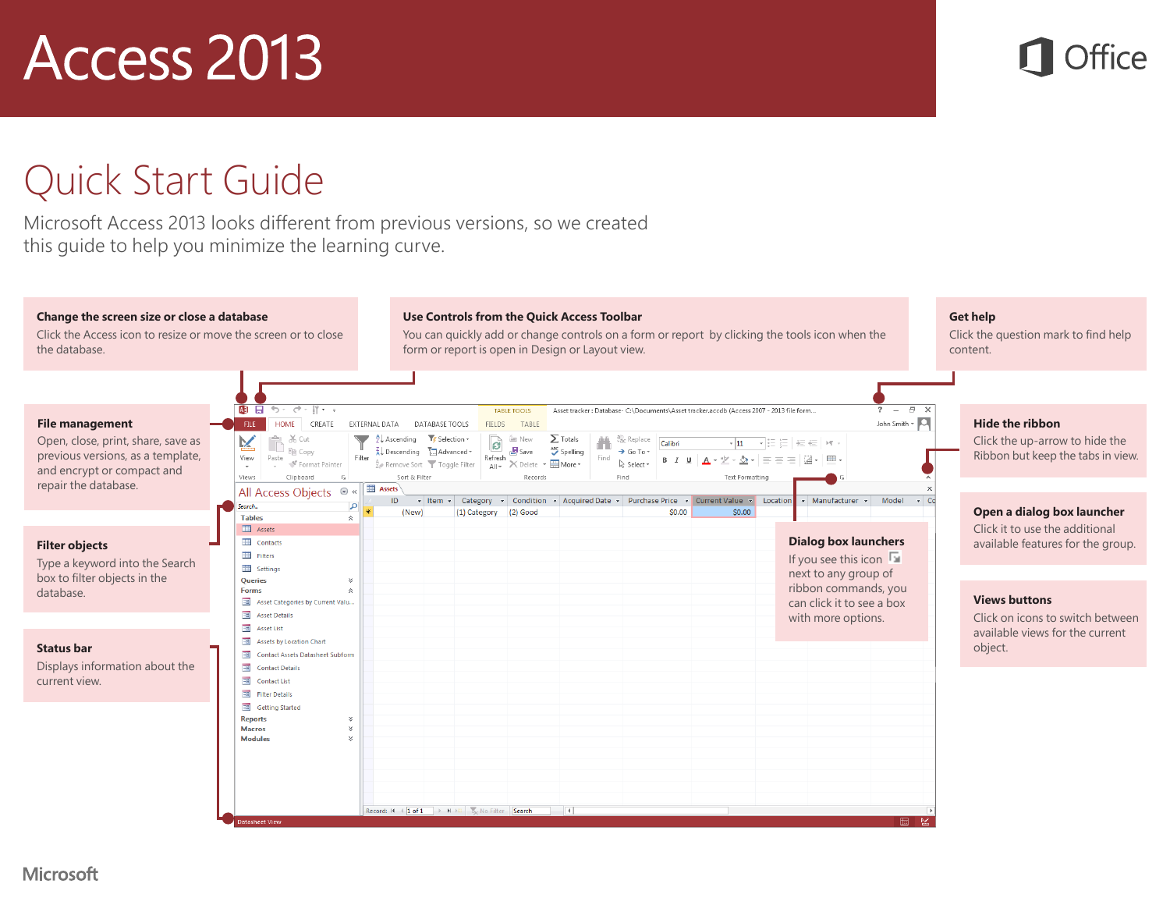#### Quick Start Guide

Microsoft Access 2013 looks different from previous versions, so we created this guide to help you minimize the learning curve.

#### **Change the screen size or close a database**

Click the Access icon to resize or move the screen or to close the database.

#### **Use Controls from the Quick Access Toolbar**

You can quickly add or change controls on a form or report by clicking the tools icon when the form or report is open in Design or Layout view.

#### **Get help**

Click the question mark to find help content.

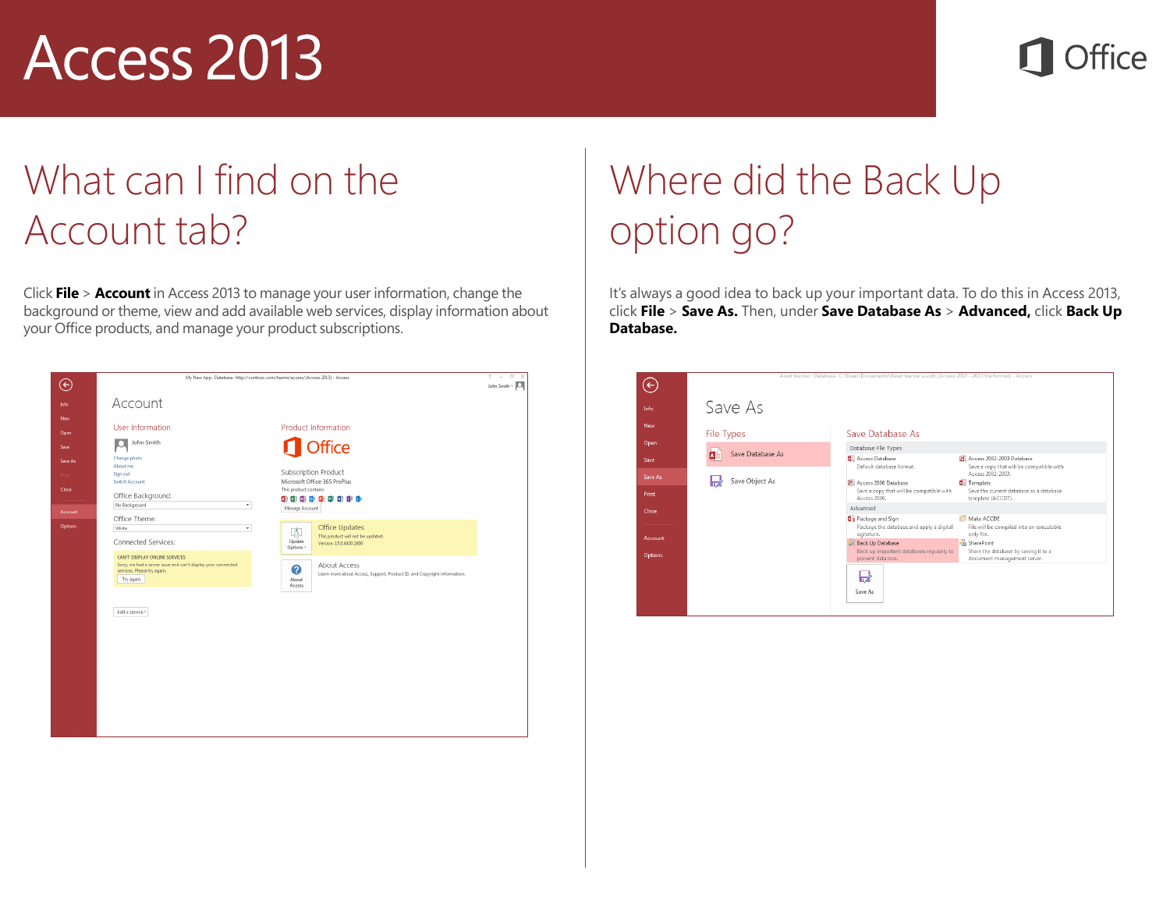### What can I find on the Account tab?

Click **File** > **Account** in Access 2013 to manage your user information, change the background or theme, view and add available web services, display information about your Office products, and manage your product subscriptions.



## Where did the Back Up option go?

It's always a good idea to back up your important data. To do this in Access 2013, click **File** > **Save As.** Then, under **Save Database As** > **Advanced,** click **Back Up Database.**

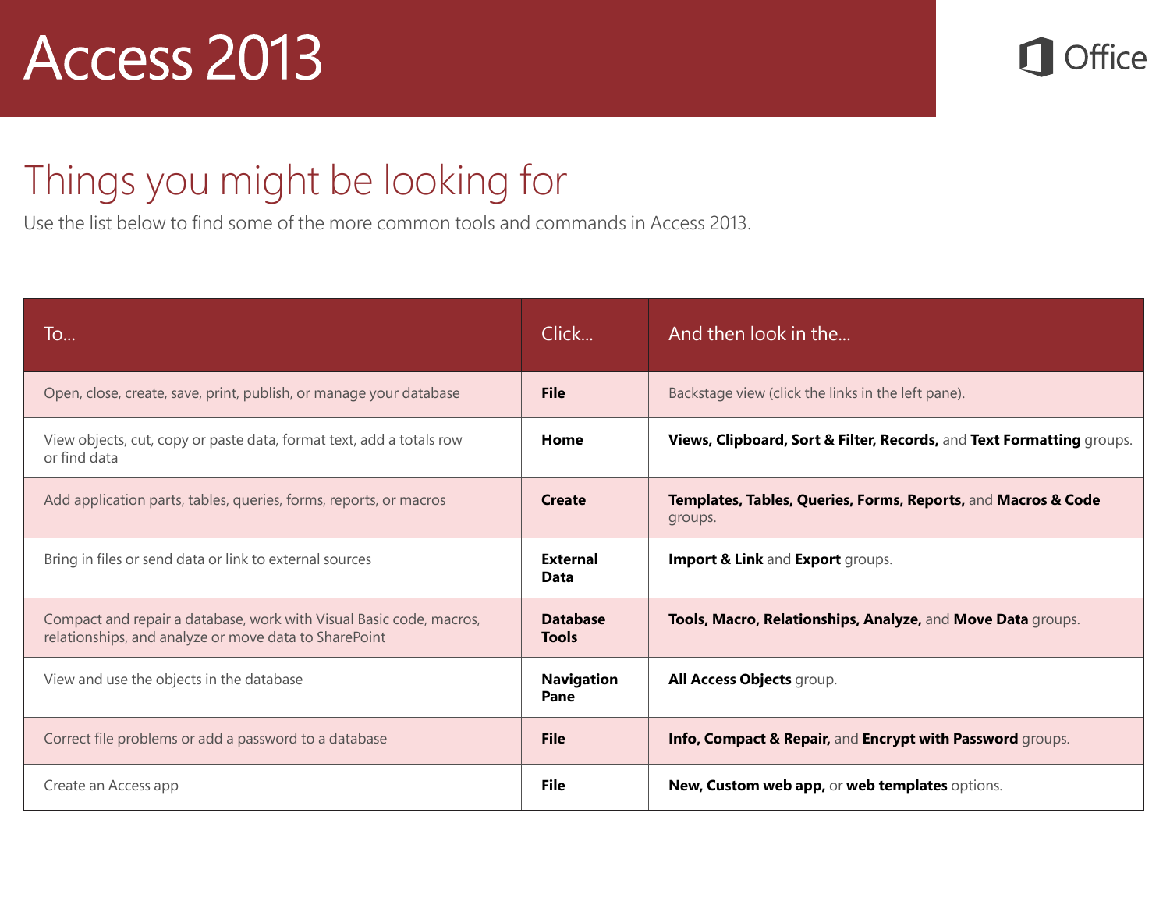Office

#### Things you might be looking for

Use the list below to find some of the more common tools and commands in Access 2013.

| To                                                                                                                           | Click                           | And then look in the                                                     |
|------------------------------------------------------------------------------------------------------------------------------|---------------------------------|--------------------------------------------------------------------------|
| Open, close, create, save, print, publish, or manage your database                                                           | <b>File</b>                     | Backstage view (click the links in the left pane).                       |
| View objects, cut, copy or paste data, format text, add a totals row<br>or find data                                         | Home                            | Views, Clipboard, Sort & Filter, Records, and Text Formatting groups.    |
| Add application parts, tables, queries, forms, reports, or macros                                                            | <b>Create</b>                   | Templates, Tables, Queries, Forms, Reports, and Macros & Code<br>groups. |
| Bring in files or send data or link to external sources                                                                      | <b>External</b><br>Data         | Import & Link and Export groups.                                         |
| Compact and repair a database, work with Visual Basic code, macros,<br>relationships, and analyze or move data to SharePoint | <b>Database</b><br><b>Tools</b> | Tools, Macro, Relationships, Analyze, and Move Data groups.              |
| View and use the objects in the database                                                                                     | <b>Navigation</b><br>Pane       | All Access Objects group.                                                |
| Correct file problems or add a password to a database                                                                        | <b>File</b>                     | Info, Compact & Repair, and Encrypt with Password groups.                |
| Create an Access app                                                                                                         | <b>File</b>                     | New, Custom web app, or web templates options.                           |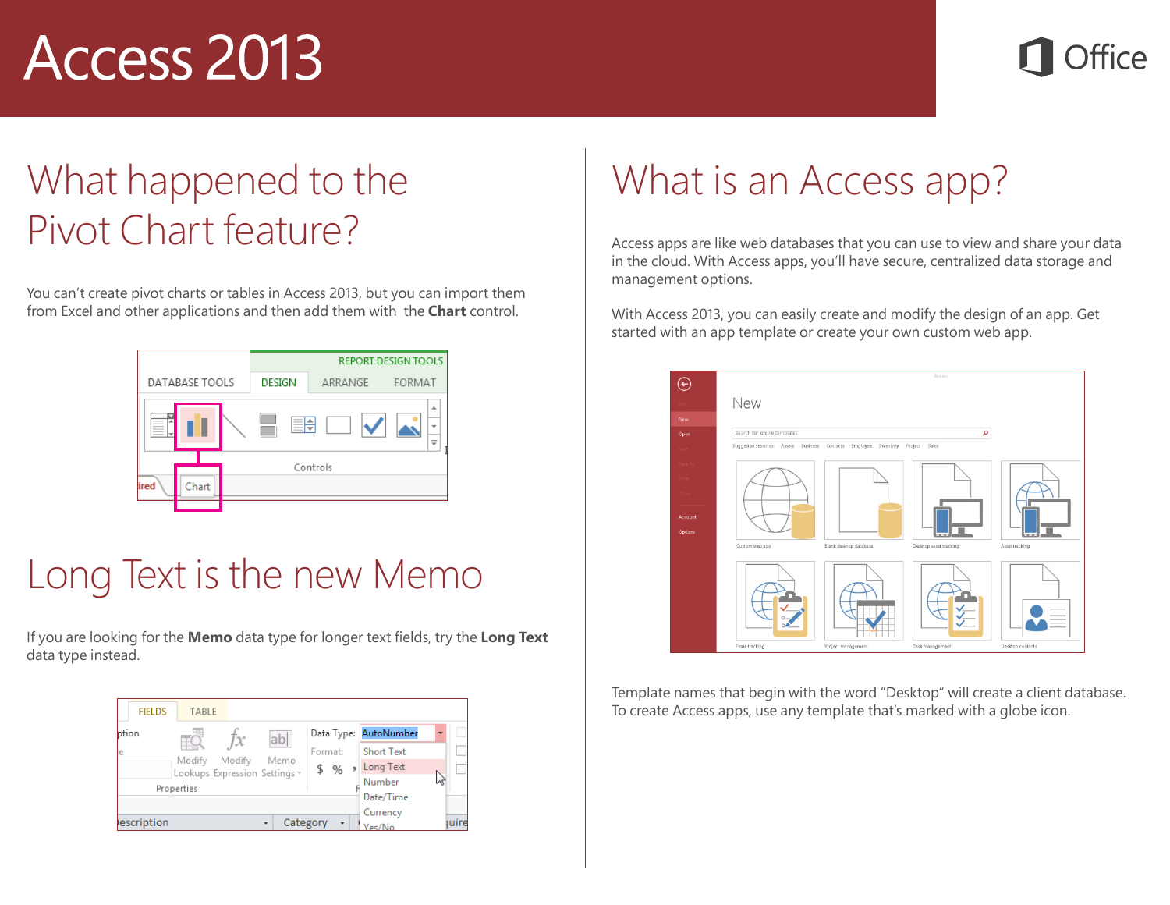### What happened to the Pivot Chart feature?

You can't create pivot charts or tables in Access 2013, but you can import them from Excel and other applications and then add them with the **Chart** control.

|                                                                                                                                                                                                                                                                                                                                                                                                                                                                                                                                             |         | <b>REPORT DESIGN TOOLS</b> |  |  |
|---------------------------------------------------------------------------------------------------------------------------------------------------------------------------------------------------------------------------------------------------------------------------------------------------------------------------------------------------------------------------------------------------------------------------------------------------------------------------------------------------------------------------------------------|---------|----------------------------|--|--|
| <b>DESIGN</b>                                                                                                                                                                                                                                                                                                                                                                                                                                                                                                                               | ARRANGE | <b>FORMAT</b>              |  |  |
| ۸<br>$=$<br>_<br>≕<br>_<br>٠<br>$\frac{1}{2} \left( \frac{1}{2} \right) \left( \frac{1}{2} \right) \left( \frac{1}{2} \right) \left( \frac{1}{2} \right) \left( \frac{1}{2} \right) \left( \frac{1}{2} \right) \left( \frac{1}{2} \right) \left( \frac{1}{2} \right) \left( \frac{1}{2} \right) \left( \frac{1}{2} \right) \left( \frac{1}{2} \right) \left( \frac{1}{2} \right) \left( \frac{1}{2} \right) \left( \frac{1}{2} \right) \left( \frac{1}{2} \right) \left( \frac{1}{2} \right) \left( \frac$<br>$\overline{\phantom{a}}$<br>٠ |         |                            |  |  |
| Controls                                                                                                                                                                                                                                                                                                                                                                                                                                                                                                                                    |         |                            |  |  |
|                                                                                                                                                                                                                                                                                                                                                                                                                                                                                                                                             |         |                            |  |  |
|                                                                                                                                                                                                                                                                                                                                                                                                                                                                                                                                             |         |                            |  |  |

### Long Text is the new Memo

If you are looking for the **Memo** data type for longer text fields, try the **Long Text** data type instead.



## What is an Access app?

Access apps are like web databases that you can use to view and share your data in the cloud. With Access apps, you'll have secure, centralized data storage and management options.

With Access 2013, you can easily create and modify the design of an app. Get started with an app template or create your own custom web app.



Template names that begin with the word "Desktop" will create a client database. To create Access apps, use any template that's marked with a globe icon.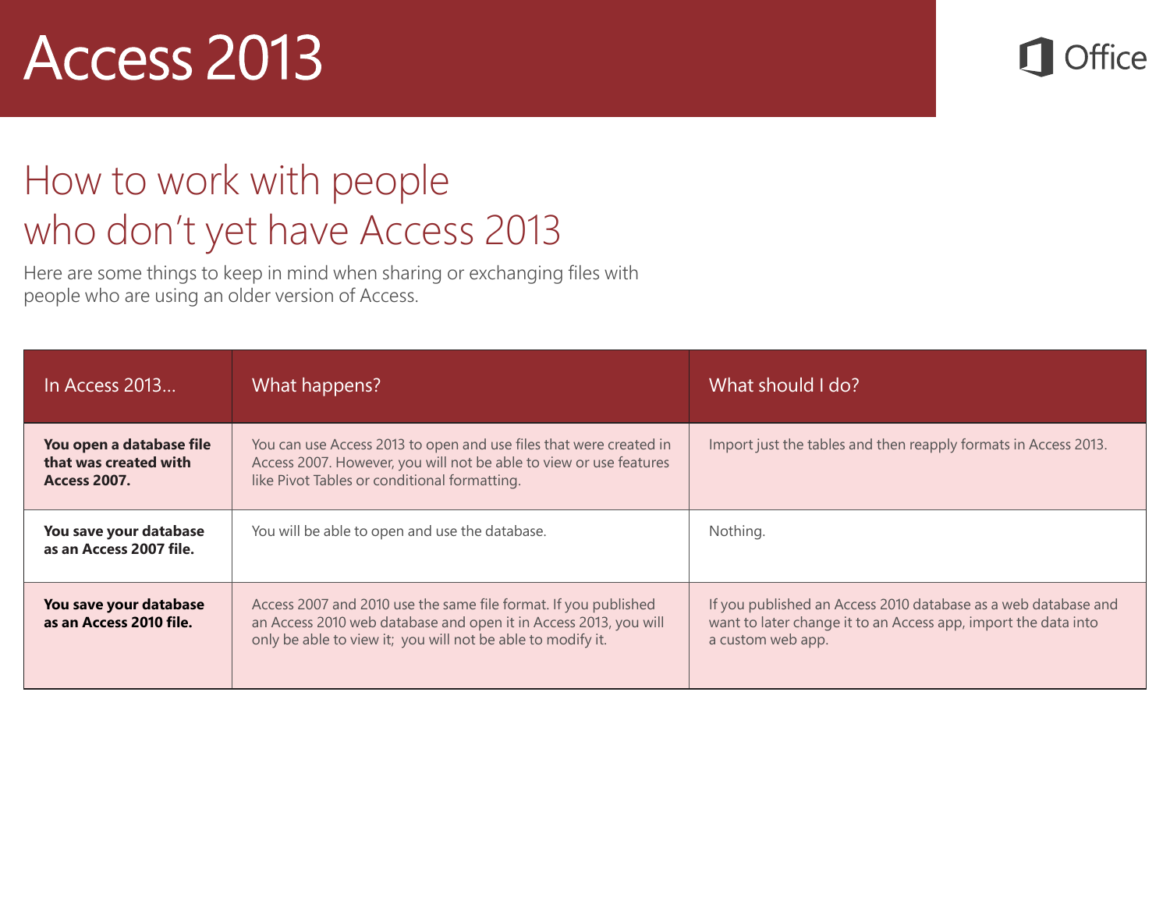**Office** 

### How to work with people who don't yet have Access 2013

Here are some things to keep in mind when sharing or exchanging files with people who are using an older version of Access.

| In Access 2013                                                           | What happens?                                                                                                                                                                                      | What should I do?                                                                                                                                     |
|--------------------------------------------------------------------------|----------------------------------------------------------------------------------------------------------------------------------------------------------------------------------------------------|-------------------------------------------------------------------------------------------------------------------------------------------------------|
| You open a database file<br>that was created with<br><b>Access 2007.</b> | You can use Access 2013 to open and use files that were created in<br>Access 2007. However, you will not be able to view or use features<br>like Pivot Tables or conditional formatting.           | Import just the tables and then reapply formats in Access 2013.                                                                                       |
| You save your database<br>as an Access 2007 file.                        | You will be able to open and use the database.                                                                                                                                                     | Nothing.                                                                                                                                              |
| You save your database<br>as an Access 2010 file.                        | Access 2007 and 2010 use the same file format. If you published<br>an Access 2010 web database and open it in Access 2013, you will<br>only be able to view it; you will not be able to modify it. | If you published an Access 2010 database as a web database and<br>want to later change it to an Access app, import the data into<br>a custom web app. |